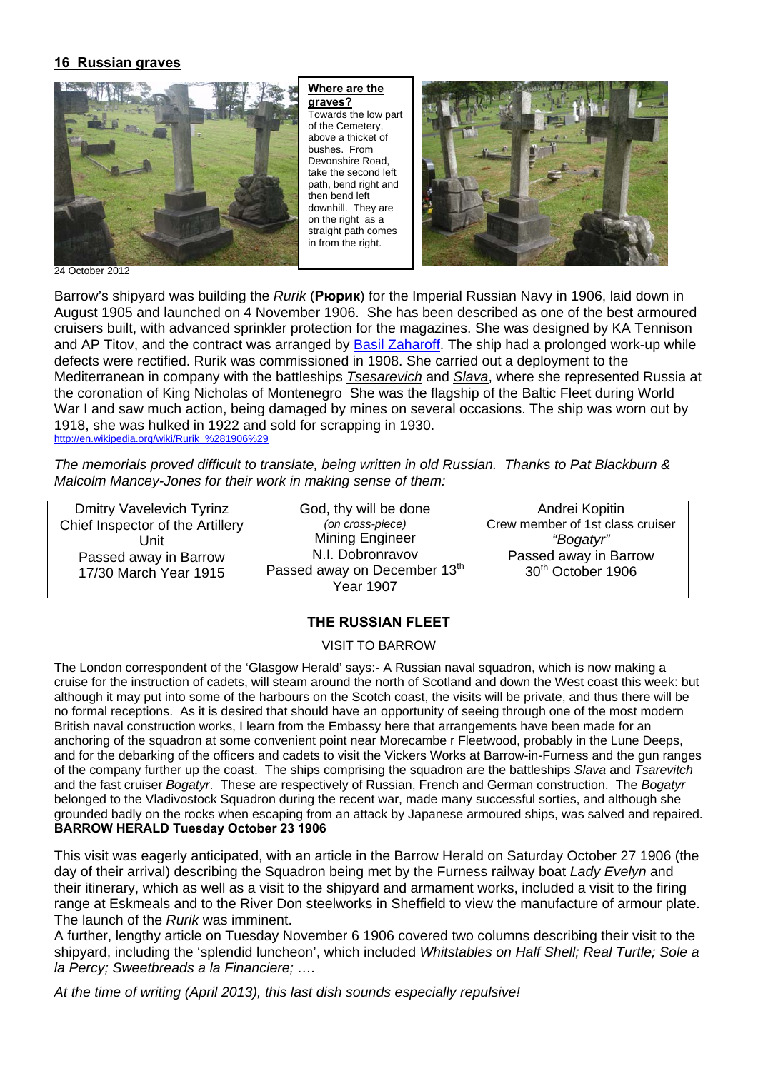### **16 Russian graves**



**Where are the graves?**  Towards the low part of the Cemetery, above a thicket of bushes. From Devonshire Road, take the second left path, bend right and then bend left downhill. They are on the right  $as a$ straight path comes in from the right.



24 October 2012

Barrow's shipyard was building the *Rurik* (**Рюрик**) for the Imperial Russian Navy in 1906, laid down in August 1905 and launched on 4 November 1906. She has been described as one of the best armoured cruisers built, with advanced sprinkler protection for the magazines. She was designed by KA Tennison and AP Titov, and the contract was arranged by Basil Zaharoff. The ship had a prolonged work-up while defects were rectified. Rurik was commissioned in 1908. She carried out a deployment to the Mediterranean in company with the battleships *Tsesarevich* and *Slava*, where she represented Russia at the coronation of King Nicholas of Montenegro She was the flagship of the Baltic Fleet during World War I and saw much action, being damaged by mines on several occasions. The ship was worn out by 1918, she was hulked in 1922 and sold for scrapping in 1930. http://en.wikipedia.org/wiki/Rurik\_%281906%29

*The memorials proved difficult to translate, being written in old Russian. Thanks to Pat Blackburn & Malcolm Mancey-Jones for their work in making sense of them:* 

Dmitry Vavelevich Tyrinz Chief Inspector of the Artillery Unit Passed away in Barrow 17/30 March Year 1915 God, thy will be done *(on cross-piece)*  Mining Engineer N.I. Dobronravov Passed away on December 13<sup>th</sup> Year 1907 Andrei Kopitin Crew member of 1st class cruiser *"Bogatyr"*  Passed away in Barrow 30th October 1906

## **THE RUSSIAN FLEET**

VISIT TO BARROW

The London correspondent of the 'Glasgow Herald' says:- A Russian naval squadron, which is now making a cruise for the instruction of cadets, will steam around the north of Scotland and down the West coast this week: but although it may put into some of the harbours on the Scotch coast, the visits will be private, and thus there will be no formal receptions. As it is desired that should have an opportunity of seeing through one of the most modern British naval construction works, I learn from the Embassy here that arrangements have been made for an anchoring of the squadron at some convenient point near Morecambe r Fleetwood, probably in the Lune Deeps, and for the debarking of the officers and cadets to visit the Vickers Works at Barrow-in-Furness and the gun ranges of the company further up the coast. The ships comprising the squadron are the battleships *Slava* and *Tsarevitch* and the fast cruiser *Bogatyr*. These are respectively of Russian, French and German construction. The *Bogatyr* belonged to the Vladivostock Squadron during the recent war, made many successful sorties, and although she grounded badly on the rocks when escaping from an attack by Japanese armoured ships, was salved and repaired. **BARROW HERALD Tuesday October 23 1906** 

This visit was eagerly anticipated, with an article in the Barrow Herald on Saturday October 27 1906 (the day of their arrival) describing the Squadron being met by the Furness railway boat *Lady Evelyn* and their itinerary, which as well as a visit to the shipyard and armament works, included a visit to the firing range at Eskmeals and to the River Don steelworks in Sheffield to view the manufacture of armour plate. The launch of the *Rurik* was imminent.

A further, lengthy article on Tuesday November 6 1906 covered two columns describing their visit to the shipyard, including the 'splendid luncheon', which included *Whitstables on Half Shell; Real Turtle; Sole a la Percy; Sweetbreads a la Financiere; ….*

*At the time of writing (April 2013), this last dish sounds especially repulsive!*